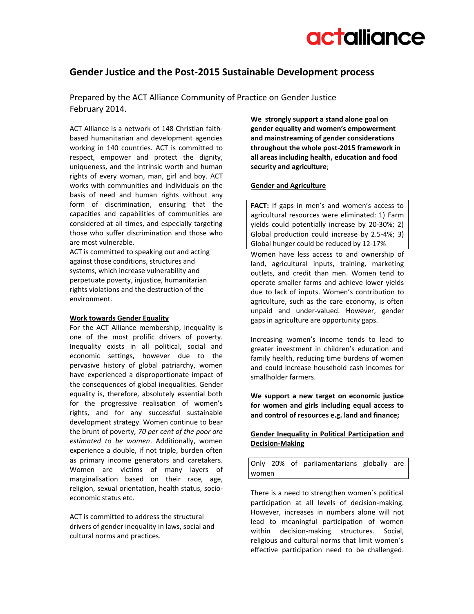

# **Gender Justice and the Post-2015 Sustainable Development process**

Prepared by the ACT Alliance Community of Practice on Gender Justice February 2014.

ACT Alliance is a network of 148 Christian faithbased humanitarian and development agencies working in 140 countries. ACT is committed to respect, empower and protect the dignity, uniqueness, and the intrinsic worth and human rights of every woman, man, girl and boy. ACT works with communities and individuals on the basis of need and human rights without any form of discrimination, ensuring that the capacities and capabilities of communities are considered at all times, and especially targeting those who suffer discrimination and those who are most vulnerable.

ACT is committed to speaking out and acting against those conditions, structures and systems, which increase vulnerability and perpetuate poverty, injustice, humanitarian rights violations and the destruction of the environment.

## **Work towards Gender Equality**

For the ACT Alliance membership, inequality is one of the most prolific drivers of poverty. Inequality exists in all political, social and economic settings, however due to the pervasive history of global patriarchy, women have experienced a disproportionate impact of the consequences of global inequalities. Gender equality is, therefore, absolutely essential both for the progressive realisation of women's rights, and for any successful sustainable development strategy. Women continue to bear the brunt of poverty, *70 per cent of the poor are estimated to be women*. Additionally, women experience a double, if not triple, burden often as primary income generators and caretakers. Women are victims of many layers of marginalisation based on their race, age, religion, sexual orientation, health status, socioeconomic status etc.

ACT is committed to address the structural drivers of gender inequality in laws, social and cultural norms and practices.

**We strongly support a stand alone goal on gender equality and women's empowerment and mainstreaming of gender considerations throughout the whole post-2015 framework in all areas including health, education and food security and agriculture**;

## **Gender and Agriculture**

**FACT:** If gaps in men's and women's access to agricultural resources were eliminated: 1) Farm yields could potentially increase by 20‐30%; 2) Global production could increase by 2.5‐4%; 3) Global hunger could be reduced by 12‐17%

Women have less access to and ownership of land, agricultural inputs, training, marketing outlets, and credit than men. Women tend to operate smaller farms and achieve lower yields due to lack of inputs. Women's contribution to agriculture, such as the care economy, is often unpaid and under-valued. However, gender gaps in agriculture are opportunity gaps.

Increasing women's income tends to lead to greater investment in children's education and family health, reducing time burdens of women and could increase household cash incomes for smallholder farmers.

**We support a new target on economic justice for women and girls including equal access to and control of resources e.g. land and finance;**

# **Gender Inequality in Political Participation and Decision-Making**

Only 20% of parliamentarians globally are women

There is a need to strengthen women´s political participation at all levels of decision-making. However, increases in numbers alone will not lead to meaningful participation of women within decision-making structures. Social, religious and cultural norms that limit women´s effective participation need to be challenged.